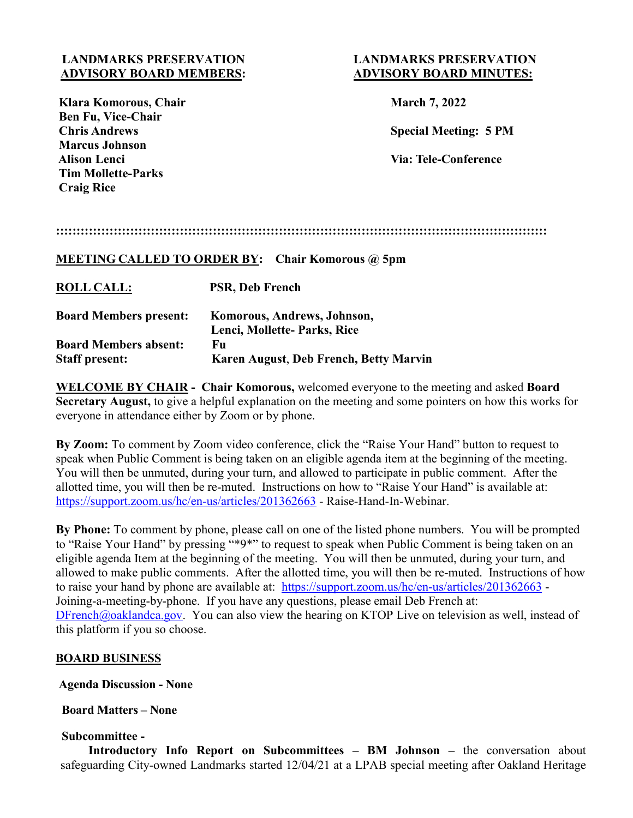## **LANDMARKS PRESERVATION LANDMARKS PRESERVATION ADVISORY BOARD MEMBERS: ADVISORY BOARD MINUTES:**

**Klara Komorous, Chair** March 7, 2022 **Ben Fu, Vice-Chair Chris Andrews Special Meeting: 5 PM Marcus Johnson Alison Lenci Via: Tele-Conference Tim Mollette-Parks Craig Rice** 

## **MEETING CALLED TO ORDER BY: Chair Komorous @ 5pm**

| <b>ROLL CALL:</b>             | <b>PSR, Deb French</b>                 |
|-------------------------------|----------------------------------------|
| <b>Board Members present:</b> | Komorous, Andrews, Johnson,            |
|                               | Lenci, Mollette- Parks, Rice           |
| <b>Board Members absent:</b>  | Fп                                     |
| <b>Staff present:</b>         | Karen August, Deb French, Betty Marvin |

**WELCOME BY CHAIR - Chair Komorous,** welcomed everyone to the meeting and asked **Board Secretary August,** to give a helpful explanation on the meeting and some pointers on how this works for everyone in attendance either by Zoom or by phone.

**By Zoom:** To comment by Zoom video conference, click the "Raise Your Hand" button to request to speak when Public Comment is being taken on an eligible agenda item at the beginning of the meeting. You will then be unmuted, during your turn, and allowed to participate in public comment. After the allotted time, you will then be re-muted. Instructions on how to "Raise Your Hand" is available at: <https://support.zoom.us/hc/en-us/articles/201362663>- Raise-Hand-In-Webinar.

**By Phone:** To comment by phone, please call on one of the listed phone numbers. You will be prompted to "Raise Your Hand" by pressing "\*9\*" to request to speak when Public Comment is being taken on an eligible agenda Item at the beginning of the meeting. You will then be unmuted, during your turn, and allowed to make public comments. After the allotted time, you will then be re-muted. Instructions of how to raise your hand by phone are available at: <https://support.zoom.us/hc/en-us/articles/201362663>-Joining-a-meeting-by-phone. If you have any questions, please email Deb French at:  $DFrench@oaklandca.gov.$  You can also view the hearing on KTOP Live on television as well, instead of this platform if you so choose.

## **BOARD BUSINESS**

**Agenda Discussion - None**

 **Board Matters – None**

## **Subcommittee -**

 **Introductory Info Report on Subcommittees – BM Johnson –** the conversation about safeguarding City-owned Landmarks started 12/04/21 at a LPAB special meeting after Oakland Heritage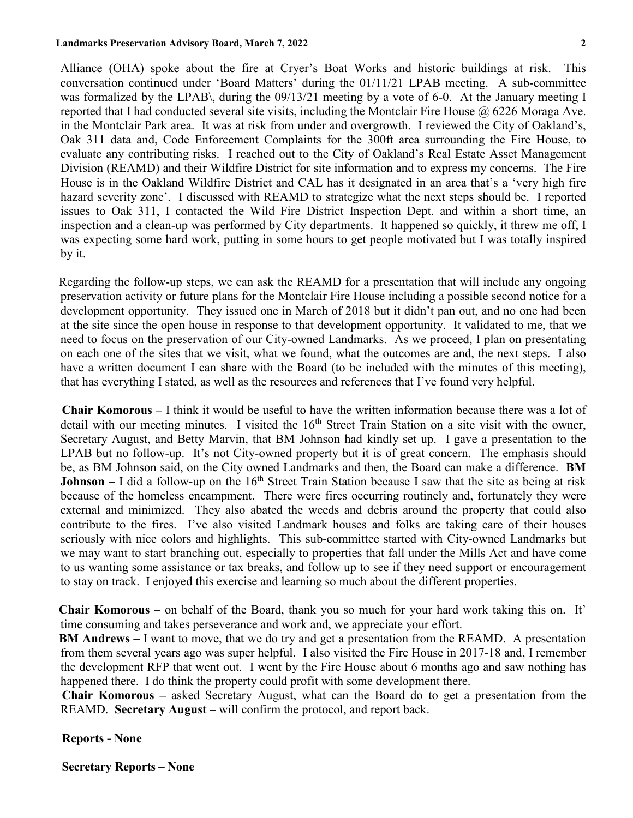#### **Landmarks Preservation Advisory Board, March 7, 2022 2**

Alliance (OHA) spoke about the fire at Cryer's Boat Works and historic buildings at risk. This conversation continued under 'Board Matters' during the 01/11/21 LPAB meeting. A sub-committee was formalized by the LPAB\, during the 09/13/21 meeting by a vote of 6-0. At the January meeting I reported that I had conducted several site visits, including the Montclair Fire House  $\omega$  6226 Moraga Ave. in the Montclair Park area. It was at risk from under and overgrowth. I reviewed the City of Oakland's, Oak 311 data and, Code Enforcement Complaints for the 300ft area surrounding the Fire House, to evaluate any contributing risks. I reached out to the City of Oakland's Real Estate Asset Management Division (REAMD) and their Wildfire District for site information and to express my concerns. The Fire House is in the Oakland Wildfire District and CAL has it designated in an area that's a 'very high fire hazard severity zone'. I discussed with REAMD to strategize what the next steps should be. I reported issues to Oak 311, I contacted the Wild Fire District Inspection Dept. and within a short time, an inspection and a clean-up was performed by City departments. It happened so quickly, it threw me off, I was expecting some hard work, putting in some hours to get people motivated but I was totally inspired by it.

Regarding the follow-up steps, we can ask the REAMD for a presentation that will include any ongoing preservation activity or future plans for the Montclair Fire House including a possible second notice for a development opportunity. They issued one in March of 2018 but it didn't pan out, and no one had been at the site since the open house in response to that development opportunity. It validated to me, that we need to focus on the preservation of our City-owned Landmarks. As we proceed, I plan on presentating on each one of the sites that we visit, what we found, what the outcomes are and, the next steps. I also have a written document I can share with the Board (to be included with the minutes of this meeting), that has everything I stated, as well as the resources and references that I've found very helpful.

 **Chair Komorous –** I think it would be useful to have the written information because there was a lot of detail with our meeting minutes. I visited the  $16<sup>th</sup>$  Street Train Station on a site visit with the owner, Secretary August, and Betty Marvin, that BM Johnson had kindly set up. I gave a presentation to the LPAB but no follow-up. It's not City-owned property but it is of great concern. The emphasis should be, as BM Johnson said, on the City owned Landmarks and then, the Board can make a difference. **BM Johnson** – I did a follow-up on the 16<sup>th</sup> Street Train Station because I saw that the site as being at risk because of the homeless encampment. There were fires occurring routinely and, fortunately they were external and minimized. They also abated the weeds and debris around the property that could also contribute to the fires. I've also visited Landmark houses and folks are taking care of their houses seriously with nice colors and highlights. This sub-committee started with City-owned Landmarks but we may want to start branching out, especially to properties that fall under the Mills Act and have come to us wanting some assistance or tax breaks, and follow up to see if they need support or encouragement to stay on track. I enjoyed this exercise and learning so much about the different properties.

**Chair Komorous –** on behalf of the Board, thank you so much for your hard work taking this on. It' time consuming and takes perseverance and work and, we appreciate your effort.

**BM Andrews –** I want to move, that we do try and get a presentation from the REAMD. A presentation from them several years ago was super helpful. I also visited the Fire House in 2017-18 and, I remember the development RFP that went out. I went by the Fire House about 6 months ago and saw nothing has happened there. I do think the property could profit with some development there.

 **Chair Komorous –** asked Secretary August, what can the Board do to get a presentation from the REAMD. **Secretary August –** will confirm the protocol, and report back.

 **Reports - None** 

 **Secretary Reports – None**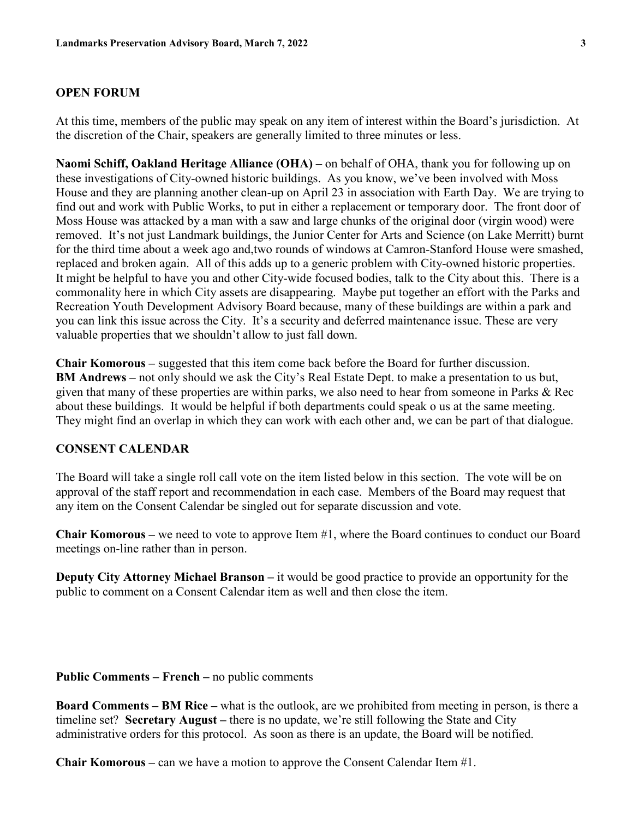### **OPEN FORUM**

At this time, members of the public may speak on any item of interest within the Board's jurisdiction. At the discretion of the Chair, speakers are generally limited to three minutes or less.

**Naomi Schiff, Oakland Heritage Alliance (OHA) –** on behalf of OHA, thank you for following up on these investigations of City-owned historic buildings. As you know, we've been involved with Moss House and they are planning another clean-up on April 23 in association with Earth Day. We are trying to find out and work with Public Works, to put in either a replacement or temporary door. The front door of Moss House was attacked by a man with a saw and large chunks of the original door (virgin wood) were removed. It's not just Landmark buildings, the Junior Center for Arts and Science (on Lake Merritt) burnt for the third time about a week ago and,two rounds of windows at Camron-Stanford House were smashed, replaced and broken again. All of this adds up to a generic problem with City-owned historic properties. It might be helpful to have you and other City-wide focused bodies, talk to the City about this. There is a commonality here in which City assets are disappearing. Maybe put together an effort with the Parks and Recreation Youth Development Advisory Board because, many of these buildings are within a park and you can link this issue across the City. It's a security and deferred maintenance issue. These are very valuable properties that we shouldn't allow to just fall down.

**Chair Komorous –** suggested that this item come back before the Board for further discussion. **BM Andrews –** not only should we ask the City's Real Estate Dept. to make a presentation to us but, given that many of these properties are within parks, we also need to hear from someone in Parks & Rec about these buildings. It would be helpful if both departments could speak o us at the same meeting. They might find an overlap in which they can work with each other and, we can be part of that dialogue.

## **CONSENT CALENDAR**

The Board will take a single roll call vote on the item listed below in this section. The vote will be on approval of the staff report and recommendation in each case. Members of the Board may request that any item on the Consent Calendar be singled out for separate discussion and vote.

**Chair Komorous –** we need to vote to approve Item #1, where the Board continues to conduct our Board meetings on-line rather than in person.

**Deputy City Attorney Michael Branson –** it would be good practice to provide an opportunity for the public to comment on a Consent Calendar item as well and then close the item.

**Public Comments – French –** no public comments

**Board Comments – BM Rice –** what is the outlook, are we prohibited from meeting in person, is there a timeline set? **Secretary August –** there is no update, we're still following the State and City administrative orders for this protocol. As soon as there is an update, the Board will be notified.

**Chair Komorous –** can we have a motion to approve the Consent Calendar Item #1.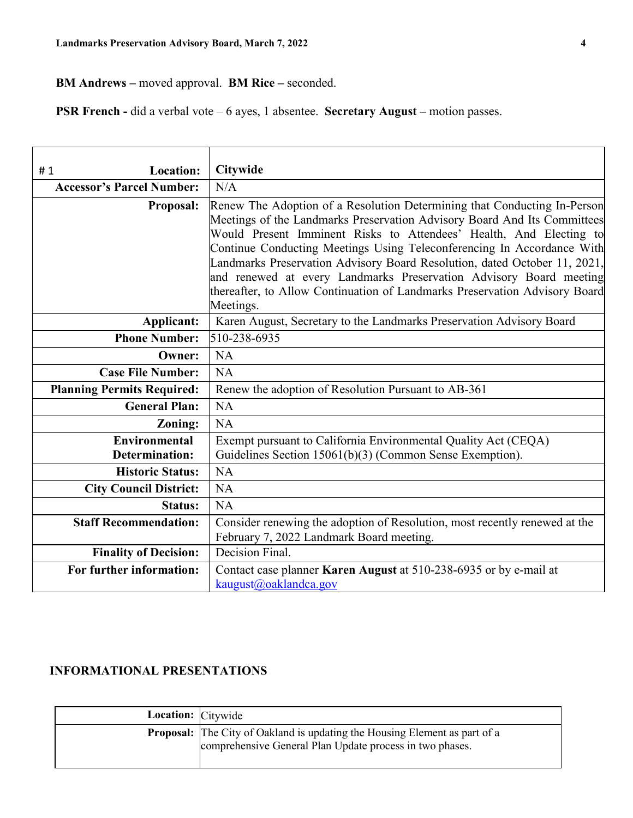# **BM Andrews –** moved approval. **BM Rice –** seconded.

**PSR French -** did a verbal vote – 6 ayes, 1 absentee. **Secretary August –** motion passes.

| Location:<br>#1                   | Citywide                                                                                                                                                                                                                                                                                             |
|-----------------------------------|------------------------------------------------------------------------------------------------------------------------------------------------------------------------------------------------------------------------------------------------------------------------------------------------------|
| <b>Accessor's Parcel Number:</b>  | N/A                                                                                                                                                                                                                                                                                                  |
| <b>Proposal:</b>                  | Renew The Adoption of a Resolution Determining that Conducting In-Person<br>Meetings of the Landmarks Preservation Advisory Board And Its Committees<br>Would Present Imminent Risks to Attendees' Health, And Electing to<br>Continue Conducting Meetings Using Teleconferencing In Accordance With |
|                                   | Landmarks Preservation Advisory Board Resolution, dated October 11, 2021,<br>and renewed at every Landmarks Preservation Advisory Board meeting<br>thereafter, to Allow Continuation of Landmarks Preservation Advisory Board<br>Meetings.                                                           |
| Applicant:                        | Karen August, Secretary to the Landmarks Preservation Advisory Board                                                                                                                                                                                                                                 |
| <b>Phone Number:</b>              | 510-238-6935                                                                                                                                                                                                                                                                                         |
| Owner:                            | NA                                                                                                                                                                                                                                                                                                   |
| <b>Case File Number:</b>          | NA                                                                                                                                                                                                                                                                                                   |
| <b>Planning Permits Required:</b> | Renew the adoption of Resolution Pursuant to AB-361                                                                                                                                                                                                                                                  |
| <b>General Plan:</b>              | <b>NA</b>                                                                                                                                                                                                                                                                                            |
| Zoning:                           | NA                                                                                                                                                                                                                                                                                                   |
| Environmental                     | Exempt pursuant to California Environmental Quality Act (CEQA)                                                                                                                                                                                                                                       |
| <b>Determination:</b>             | Guidelines Section 15061(b)(3) (Common Sense Exemption).                                                                                                                                                                                                                                             |
| <b>Historic Status:</b>           | NA                                                                                                                                                                                                                                                                                                   |
| <b>City Council District:</b>     | <b>NA</b>                                                                                                                                                                                                                                                                                            |
| <b>Status:</b>                    | NA                                                                                                                                                                                                                                                                                                   |
| <b>Staff Recommendation:</b>      | Consider renewing the adoption of Resolution, most recently renewed at the<br>February 7, 2022 Landmark Board meeting.                                                                                                                                                                               |
| <b>Finality of Decision:</b>      | Decision Final.                                                                                                                                                                                                                                                                                      |
| For further information:          | Contact case planner Karen August at 510-238-6935 or by e-mail at<br>kaugust@oaklandca.gov                                                                                                                                                                                                           |

# **INFORMATIONAL PRESENTATIONS**

| <b>Location:</b> Citywide |                                                                                                                                               |
|---------------------------|-----------------------------------------------------------------------------------------------------------------------------------------------|
|                           | <b>Proposal:</b> The City of Oakland is updating the Housing Element as part of a<br>comprehensive General Plan Update process in two phases. |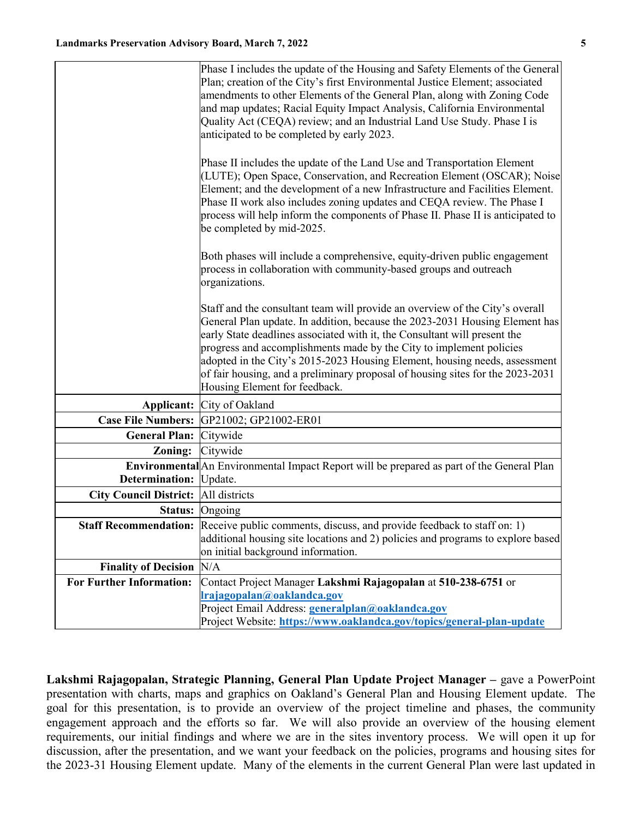|                                       | Phase I includes the update of the Housing and Safety Elements of the General                                                                                                                                                                                                                                                                                                                                                                                                                                    |
|---------------------------------------|------------------------------------------------------------------------------------------------------------------------------------------------------------------------------------------------------------------------------------------------------------------------------------------------------------------------------------------------------------------------------------------------------------------------------------------------------------------------------------------------------------------|
|                                       | Plan; creation of the City's first Environmental Justice Element; associated<br>amendments to other Elements of the General Plan, along with Zoning Code<br>and map updates; Racial Equity Impact Analysis, California Environmental<br>Quality Act (CEQA) review; and an Industrial Land Use Study. Phase I is<br>anticipated to be completed by early 2023.                                                                                                                                                    |
|                                       | Phase II includes the update of the Land Use and Transportation Element<br>(LUTE); Open Space, Conservation, and Recreation Element (OSCAR); Noise<br>Element; and the development of a new Infrastructure and Facilities Element.<br>Phase II work also includes zoning updates and CEQA review. The Phase I<br>process will help inform the components of Phase II. Phase II is anticipated to<br>be completed by mid-2025.                                                                                    |
|                                       | Both phases will include a comprehensive, equity-driven public engagement<br>process in collaboration with community-based groups and outreach<br>organizations.                                                                                                                                                                                                                                                                                                                                                 |
|                                       | Staff and the consultant team will provide an overview of the City's overall<br>General Plan update. In addition, because the 2023-2031 Housing Element has<br>early State deadlines associated with it, the Consultant will present the<br>progress and accomplishments made by the City to implement policies<br>adopted in the City's 2015-2023 Housing Element, housing needs, assessment<br>of fair housing, and a preliminary proposal of housing sites for the 2023-2031<br>Housing Element for feedback. |
|                                       | Applicant: City of Oakland                                                                                                                                                                                                                                                                                                                                                                                                                                                                                       |
|                                       | Case File Numbers: GP21002; GP21002-ER01                                                                                                                                                                                                                                                                                                                                                                                                                                                                         |
| General Plan: Citywide                |                                                                                                                                                                                                                                                                                                                                                                                                                                                                                                                  |
| Zoning:                               | Citywide                                                                                                                                                                                                                                                                                                                                                                                                                                                                                                         |
| Determination: Update.                | Environmental An Environmental Impact Report will be prepared as part of the General Plan                                                                                                                                                                                                                                                                                                                                                                                                                        |
| City Council District:  All districts |                                                                                                                                                                                                                                                                                                                                                                                                                                                                                                                  |
|                                       | Status: Ongoing                                                                                                                                                                                                                                                                                                                                                                                                                                                                                                  |
|                                       | Staff Recommendation: Receive public comments, discuss, and provide feedback to staff on: 1)<br>additional housing site locations and 2) policies and programs to explore based<br>on initial background information.                                                                                                                                                                                                                                                                                            |
| <b>Finality of Decision N/A</b>       |                                                                                                                                                                                                                                                                                                                                                                                                                                                                                                                  |
| <b>For Further Information:</b>       | Contact Project Manager Lakshmi Rajagopalan at 510-238-6751 or                                                                                                                                                                                                                                                                                                                                                                                                                                                   |
|                                       | Irajagopalan@oaklandca.gov<br>Project Email Address: generalplan@oaklandca.gov<br>Project Website: https://www.oaklandca.gov/topics/general-plan-update                                                                                                                                                                                                                                                                                                                                                          |

**Lakshmi Rajagopalan, Strategic Planning, General Plan Update Project Manager –** gave a PowerPoint presentation with charts, maps and graphics on Oakland's General Plan and Housing Element update. The goal for this presentation, is to provide an overview of the project timeline and phases, the community engagement approach and the efforts so far. We will also provide an overview of the housing element requirements, our initial findings and where we are in the sites inventory process. We will open it up for discussion, after the presentation, and we want your feedback on the policies, programs and housing sites for the 2023-31 Housing Element update. Many of the elements in the current General Plan were last updated in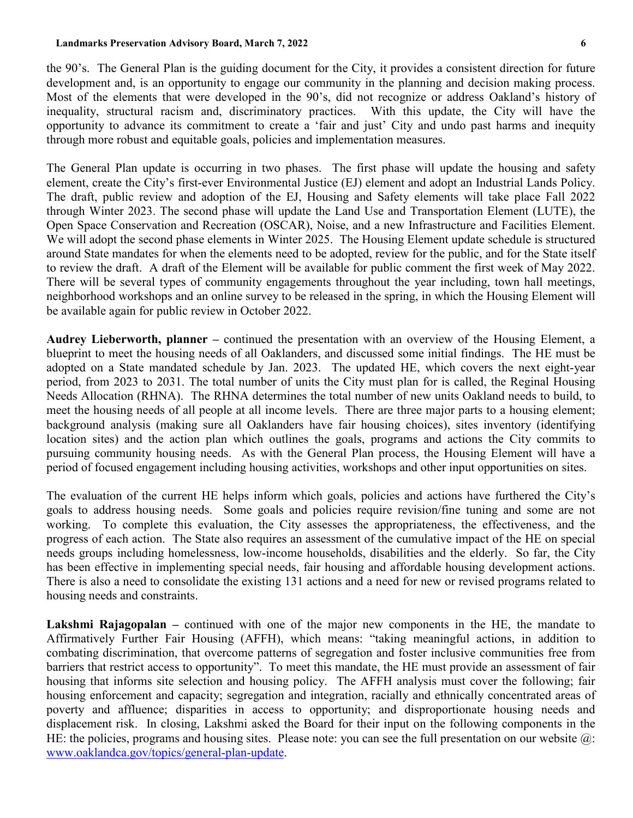#### **Landmarks Preservation Advisory Board, March 7, 2022 6**

the 90's. The General Plan is the guiding document for the City, it provides a consistent direction for future development and, is an opportunity to engage our community in the planning and decision making process. Most of the elements that were developed in the 90's, did not recognize or address Oakland's history of inequality, structural racism and, discriminatory practices. With this update, the City will have the opportunity to advance its commitment to create a 'fair and just' City and undo past harms and inequity through more robust and equitable goals, policies and implementation measures.

The General Plan update is occurring in two phases. The first phase will update the housing and safety element, create the City's first-ever Environmental Justice (EJ) element and adopt an Industrial Lands Policy. The draft, public review and adoption of the EJ, Housing and Safety elements will take place Fall 2022 through Winter 2023. The second phase will update the Land Use and Transportation Element (LUTE), the Open Space Conservation and Recreation (OSCAR), Noise, and a new Infrastructure and Facilities Element. We will adopt the second phase elements in Winter 2025. The Housing Element update schedule is structured around State mandates for when the elements need to be adopted, review for the public, and for the State itself to review the draft. A draft of the Element will be available for public comment the first week of May 2022. There will be several types of community engagements throughout the year including, town hall meetings, neighborhood workshops and an online survey to be released in the spring, in which the Housing Element will be available again for public review in October 2022.

**Audrey Lieberworth, planner –** continued the presentation with an overview of the Housing Element, a blueprint to meet the housing needs of all Oaklanders, and discussed some initial findings. The HE must be adopted on a State mandated schedule by Jan. 2023. The updated HE, which covers the next eight-year period, from 2023 to 2031. The total number of units the City must plan for is called, the Reginal Housing Needs Allocation (RHNA). The RHNA determines the total number of new units Oakland needs to build, to meet the housing needs of all people at all income levels. There are three major parts to a housing element; background analysis (making sure all Oaklanders have fair housing choices), sites inventory (identifying location sites) and the action plan which outlines the goals, programs and actions the City commits to pursuing community housing needs. As with the General Plan process, the Housing Element will have a period of focused engagement including housing activities, workshops and other input opportunities on sites.

The evaluation of the current HE helps inform which goals, policies and actions have furthered the City's goals to address housing needs. Some goals and policies require revision/fine tuning and some are not working. To complete this evaluation, the City assesses the appropriateness, the effectiveness, and the progress of each action. The State also requires an assessment of the cumulative impact of the HE on special needs groups including homelessness, low-income households, disabilities and the elderly. So far, the City has been effective in implementing special needs, fair housing and affordable housing development actions. There is also a need to consolidate the existing 131 actions and a need for new or revised programs related to housing needs and constraints.

**Lakshmi Rajagopalan –** continued with one of the major new components in the HE, the mandate to Affirmatively Further Fair Housing (AFFH), which means: "taking meaningful actions, in addition to combating discrimination, that overcome patterns of segregation and foster inclusive communities free from barriers that restrict access to opportunity". To meet this mandate, the HE must provide an assessment of fair housing that informs site selection and housing policy. The AFFH analysis must cover the following; fair housing enforcement and capacity; segregation and integration, racially and ethnically concentrated areas of poverty and affluence; disparities in access to opportunity; and disproportionate housing needs and displacement risk. In closing, Lakshmi asked the Board for their input on the following components in the HE: the policies, programs and housing sites. Please note: you can see the full presentation on our website  $\omega$ : [www.oaklandca.gov/topics/general-plan-update.](http://www.oaklandca.gov/topics/general-plan-update)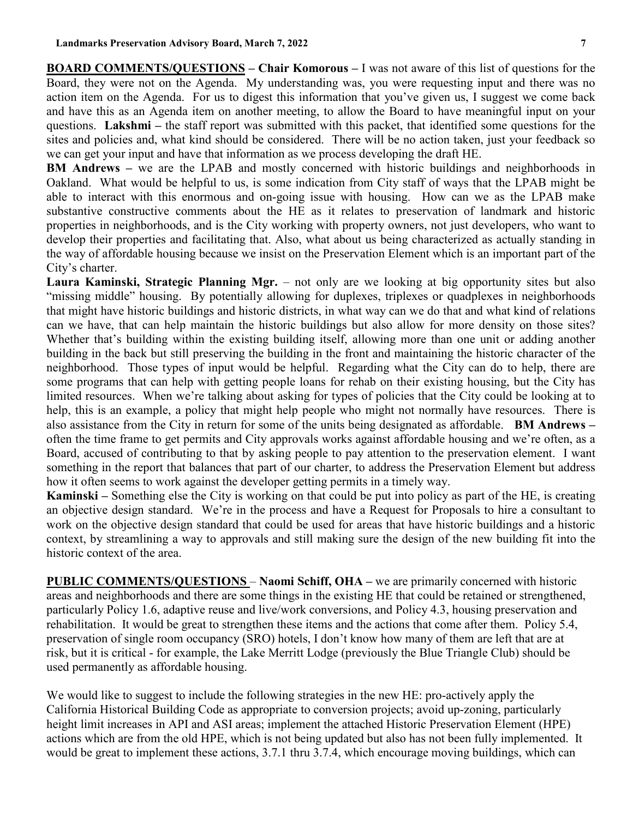**BOARD COMMENTS/QUESTIONS – Chair Komorous –** I was not aware of this list of questions for the Board, they were not on the Agenda. My understanding was, you were requesting input and there was no action item on the Agenda. For us to digest this information that you've given us, I suggest we come back and have this as an Agenda item on another meeting, to allow the Board to have meaningful input on your questions. **Lakshmi –** the staff report was submitted with this packet, that identified some questions for the sites and policies and, what kind should be considered. There will be no action taken, just your feedback so we can get your input and have that information as we process developing the draft HE.

**BM Andrews –** we are the LPAB and mostly concerned with historic buildings and neighborhoods in Oakland. What would be helpful to us, is some indication from City staff of ways that the LPAB might be able to interact with this enormous and on-going issue with housing. How can we as the LPAB make substantive constructive comments about the HE as it relates to preservation of landmark and historic properties in neighborhoods, and is the City working with property owners, not just developers, who want to develop their properties and facilitating that. Also, what about us being characterized as actually standing in the way of affordable housing because we insist on the Preservation Element which is an important part of the City's charter.

**Laura Kaminski, Strategic Planning Mgr.** – not only are we looking at big opportunity sites but also "missing middle" housing. By potentially allowing for duplexes, triplexes or quadplexes in neighborhoods that might have historic buildings and historic districts, in what way can we do that and what kind of relations can we have, that can help maintain the historic buildings but also allow for more density on those sites? Whether that's building within the existing building itself, allowing more than one unit or adding another building in the back but still preserving the building in the front and maintaining the historic character of the neighborhood. Those types of input would be helpful. Regarding what the City can do to help, there are some programs that can help with getting people loans for rehab on their existing housing, but the City has limited resources. When we're talking about asking for types of policies that the City could be looking at to help, this is an example, a policy that might help people who might not normally have resources. There is also assistance from the City in return for some of the units being designated as affordable. **BM Andrews –** often the time frame to get permits and City approvals works against affordable housing and we're often, as a Board, accused of contributing to that by asking people to pay attention to the preservation element. I want something in the report that balances that part of our charter, to address the Preservation Element but address how it often seems to work against the developer getting permits in a timely way.

**Kaminski –** Something else the City is working on that could be put into policy as part of the HE, is creating an objective design standard. We're in the process and have a Request for Proposals to hire a consultant to work on the objective design standard that could be used for areas that have historic buildings and a historic context, by streamlining a way to approvals and still making sure the design of the new building fit into the historic context of the area.

**PUBLIC COMMENTS/QUESTIONS** – **Naomi Schiff, OHA –** we are primarily concerned with historic areas and neighborhoods and there are some things in the existing HE that could be retained or strengthened, particularly Policy 1.6, adaptive reuse and live/work conversions, and Policy 4.3, housing preservation and rehabilitation. It would be great to strengthen these items and the actions that come after them. Policy 5.4, preservation of single room occupancy (SRO) hotels, I don't know how many of them are left that are at risk, but it is critical - for example, the Lake Merritt Lodge (previously the Blue Triangle Club) should be used permanently as affordable housing.

We would like to suggest to include the following strategies in the new HE: pro-actively apply the California Historical Building Code as appropriate to conversion projects; avoid up-zoning, particularly height limit increases in API and ASI areas; implement the attached Historic Preservation Element (HPE) actions which are from the old HPE, which is not being updated but also has not been fully implemented. It would be great to implement these actions, 3.7.1 thru 3.7.4, which encourage moving buildings, which can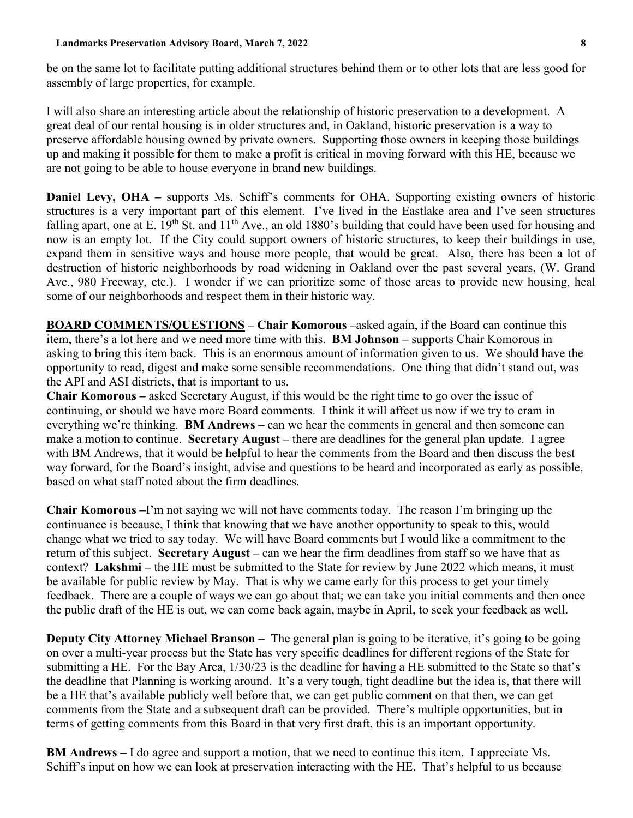be on the same lot to facilitate putting additional structures behind them or to other lots that are less good for assembly of large properties, for example.

I will also share an interesting article about the relationship of historic preservation to a development. A great deal of our rental housing is in older structures and, in Oakland, historic preservation is a way to preserve affordable housing owned by private owners. Supporting those owners in keeping those buildings up and making it possible for them to make a profit is critical in moving forward with this HE, because we are not going to be able to house everyone in brand new buildings.

**Daniel Levy, OHA –** supports Ms. Schiff's comments for OHA. Supporting existing owners of historic structures is a very important part of this element. I've lived in the Eastlake area and I've seen structures falling apart, one at E.  $19^{th}$  St. and  $11^{th}$  Ave., an old 1880's building that could have been used for housing and now is an empty lot. If the City could support owners of historic structures, to keep their buildings in use, expand them in sensitive ways and house more people, that would be great. Also, there has been a lot of destruction of historic neighborhoods by road widening in Oakland over the past several years, (W. Grand Ave., 980 Freeway, etc.). I wonder if we can prioritize some of those areas to provide new housing, heal some of our neighborhoods and respect them in their historic way.

**BOARD COMMENTS/QUESTIONS – Chair Komorous –**asked again, if the Board can continue this item, there's a lot here and we need more time with this. **BM Johnson –** supports Chair Komorous in asking to bring this item back. This is an enormous amount of information given to us. We should have the opportunity to read, digest and make some sensible recommendations. One thing that didn't stand out, was the API and ASI districts, that is important to us.

**Chair Komorous –** asked Secretary August, if this would be the right time to go over the issue of continuing, or should we have more Board comments. I think it will affect us now if we try to cram in everything we're thinking. **BM Andrews –** can we hear the comments in general and then someone can make a motion to continue. **Secretary August –** there are deadlines for the general plan update. I agree with BM Andrews, that it would be helpful to hear the comments from the Board and then discuss the best way forward, for the Board's insight, advise and questions to be heard and incorporated as early as possible, based on what staff noted about the firm deadlines.

**Chair Komorous –**I'm not saying we will not have comments today. The reason I'm bringing up the continuance is because, I think that knowing that we have another opportunity to speak to this, would change what we tried to say today. We will have Board comments but I would like a commitment to the return of this subject. **Secretary August –** can we hear the firm deadlines from staff so we have that as context? **Lakshmi –** the HE must be submitted to the State for review by June 2022 which means, it must be available for public review by May. That is why we came early for this process to get your timely feedback. There are a couple of ways we can go about that; we can take you initial comments and then once the public draft of the HE is out, we can come back again, maybe in April, to seek your feedback as well.

**Deputy City Attorney Michael Branson –** The general plan is going to be iterative, it's going to be going on over a multi-year process but the State has very specific deadlines for different regions of the State for submitting a HE. For the Bay Area, 1/30/23 is the deadline for having a HE submitted to the State so that's the deadline that Planning is working around. It's a very tough, tight deadline but the idea is, that there will be a HE that's available publicly well before that, we can get public comment on that then, we can get comments from the State and a subsequent draft can be provided. There's multiple opportunities, but in terms of getting comments from this Board in that very first draft, this is an important opportunity.

**BM Andrews –** I do agree and support a motion, that we need to continue this item. I appreciate Ms. Schiff's input on how we can look at preservation interacting with the HE. That's helpful to us because